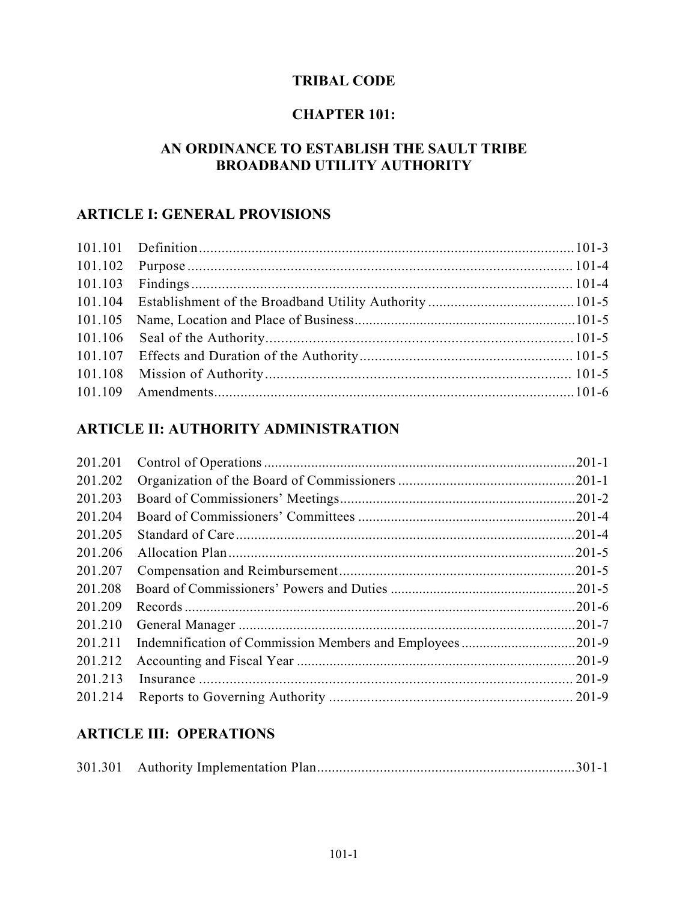## **TRIBAL CODE**

# **CHAPTER 101:**

# **AN ORDINANCE TO ESTABLISH THE SAULT TRIBE BROADBAND UTILITY AUTHORITY**

# **ARTICLE I: GENERAL PROVISIONS**

# **ARTICLE II: AUTHORITY ADMINISTRATION**

| 201.201 |  |
|---------|--|
| 201.202 |  |
| 201.203 |  |
| 201.204 |  |
| 201.205 |  |
| 201.206 |  |
| 201.207 |  |
| 201.208 |  |
| 201.209 |  |
| 201.210 |  |
| 201.211 |  |
| 201.212 |  |
| 201.213 |  |
| 201.214 |  |
|         |  |

# **ARTICLE III: OPERATIONS**

|--|--|--|--|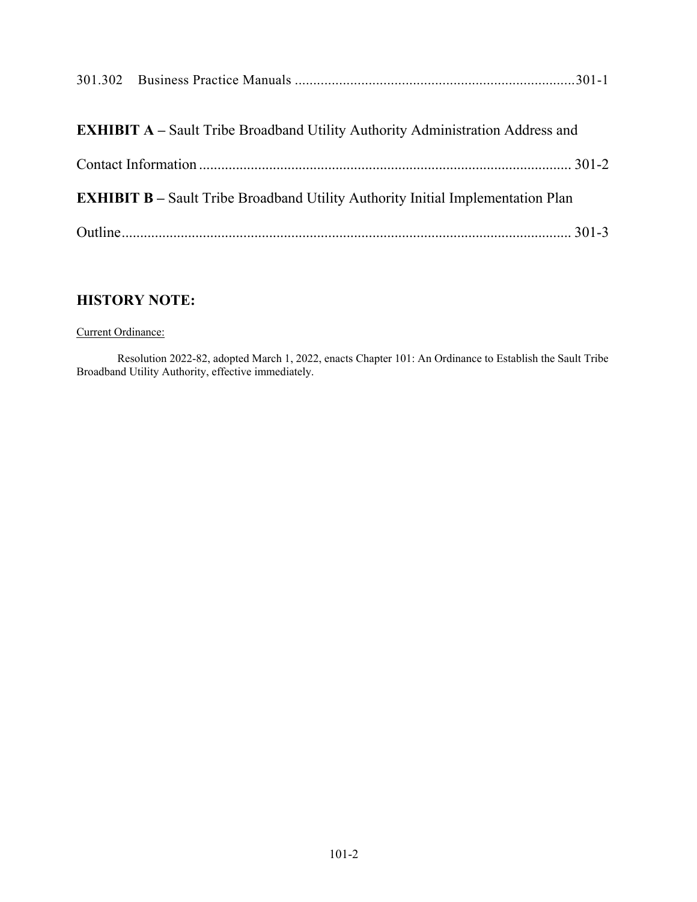| <b>EXHIBIT A</b> – Sault Tribe Broadband Utility Authority Administration Address and  |  |
|----------------------------------------------------------------------------------------|--|
|                                                                                        |  |
| <b>EXHIBIT B</b> – Sault Tribe Broadband Utility Authority Initial Implementation Plan |  |
|                                                                                        |  |

# **HISTORY NOTE:**

#### Current Ordinance:

 Resolution 2022-82, adopted March 1, 2022, enacts Chapter 101: An Ordinance to Establish the Sault Tribe Broadband Utility Authority, effective immediately.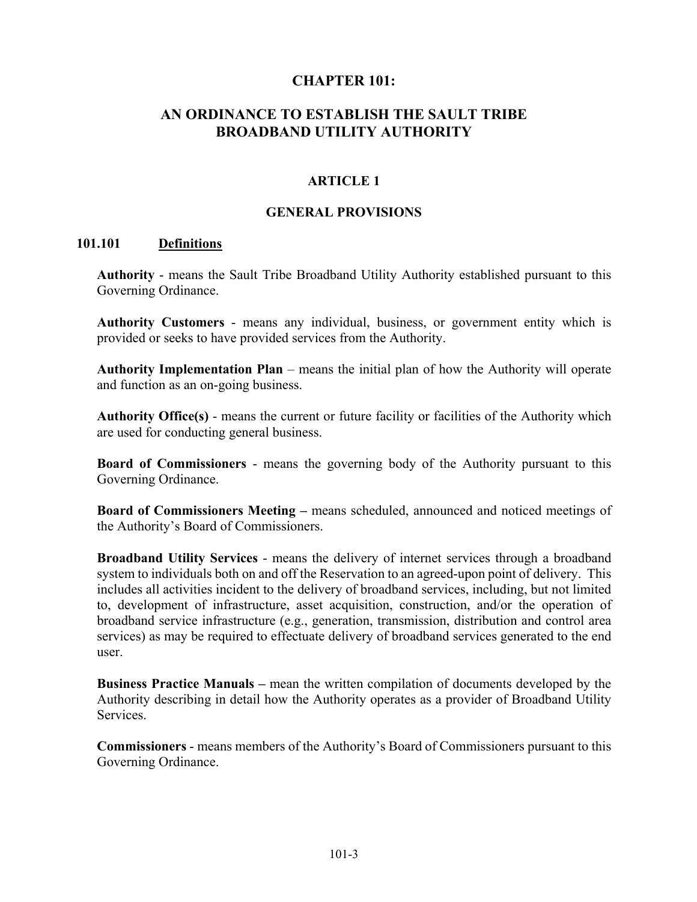#### **CHAPTER 101:**

# **AN ORDINANCE TO ESTABLISH THE SAULT TRIBE BROADBAND UTILITY AUTHORITY**

#### **ARTICLE 1**

#### **GENERAL PROVISIONS**

#### **101.101 Definitions**

**Authority** - means the Sault Tribe Broadband Utility Authority established pursuant to this Governing Ordinance.

**Authority Customers** - means any individual, business, or government entity which is provided or seeks to have provided services from the Authority.

**Authority Implementation Plan** – means the initial plan of how the Authority will operate and function as an on-going business.

**Authority Office(s)** - means the current or future facility or facilities of the Authority which are used for conducting general business.

**Board of Commissioners** - means the governing body of the Authority pursuant to this Governing Ordinance.

**Board of Commissioners Meeting –** means scheduled, announced and noticed meetings of the Authority's Board of Commissioners.

**Broadband Utility Services** - means the delivery of internet services through a broadband system to individuals both on and off the Reservation to an agreed-upon point of delivery. This includes all activities incident to the delivery of broadband services, including, but not limited to, development of infrastructure, asset acquisition, construction, and/or the operation of broadband service infrastructure (e.g., generation, transmission, distribution and control area services) as may be required to effectuate delivery of broadband services generated to the end user.

**Business Practice Manuals –** mean the written compilation of documents developed by the Authority describing in detail how the Authority operates as a provider of Broadband Utility Services.

**Commissioners** - means members of the Authority's Board of Commissioners pursuant to this Governing Ordinance.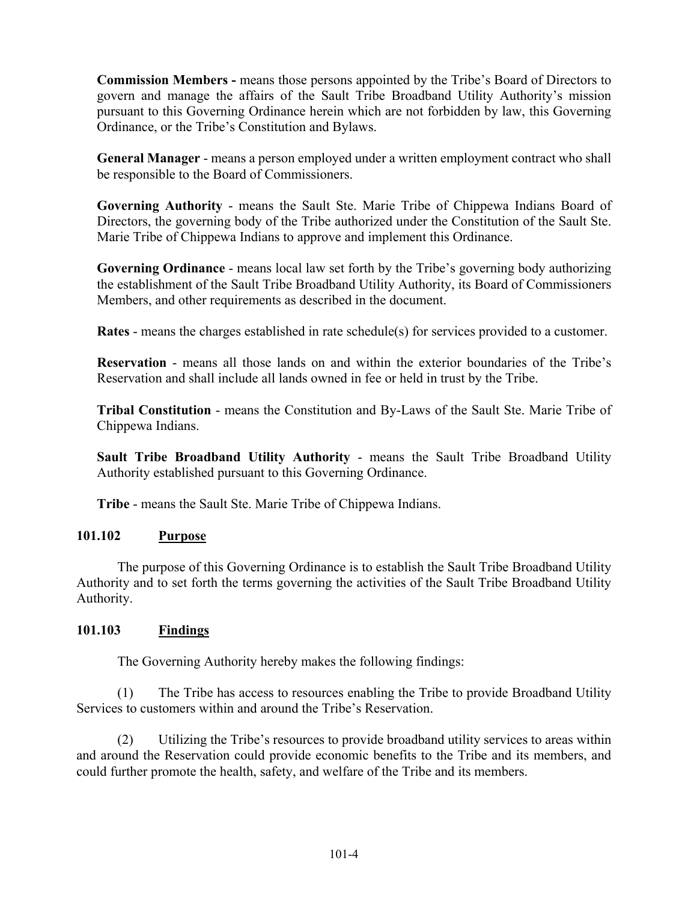**Commission Members -** means those persons appointed by the Tribe's Board of Directors to govern and manage the affairs of the Sault Tribe Broadband Utility Authority's mission pursuant to this Governing Ordinance herein which are not forbidden by law, this Governing Ordinance, or the Tribe's Constitution and Bylaws.

**General Manager** - means a person employed under a written employment contract who shall be responsible to the Board of Commissioners.

**Governing Authority** - means the Sault Ste. Marie Tribe of Chippewa Indians Board of Directors, the governing body of the Tribe authorized under the Constitution of the Sault Ste. Marie Tribe of Chippewa Indians to approve and implement this Ordinance.

**Governing Ordinance** - means local law set forth by the Tribe's governing body authorizing the establishment of the Sault Tribe Broadband Utility Authority, its Board of Commissioners Members, and other requirements as described in the document.

**Rates** - means the charges established in rate schedule(s) for services provided to a customer.

**Reservation** - means all those lands on and within the exterior boundaries of the Tribe's Reservation and shall include all lands owned in fee or held in trust by the Tribe.

**Tribal Constitution** - means the Constitution and By-Laws of the Sault Ste. Marie Tribe of Chippewa Indians.

**Sault Tribe Broadband Utility Authority** - means the Sault Tribe Broadband Utility Authority established pursuant to this Governing Ordinance.

**Tribe** - means the Sault Ste. Marie Tribe of Chippewa Indians.

#### **101.102 Purpose**

 The purpose of this Governing Ordinance is to establish the Sault Tribe Broadband Utility Authority and to set forth the terms governing the activities of the Sault Tribe Broadband Utility Authority.

#### **101.103 Findings**

The Governing Authority hereby makes the following findings:

 (1) The Tribe has access to resources enabling the Tribe to provide Broadband Utility Services to customers within and around the Tribe's Reservation.

 (2) Utilizing the Tribe's resources to provide broadband utility services to areas within and around the Reservation could provide economic benefits to the Tribe and its members, and could further promote the health, safety, and welfare of the Tribe and its members.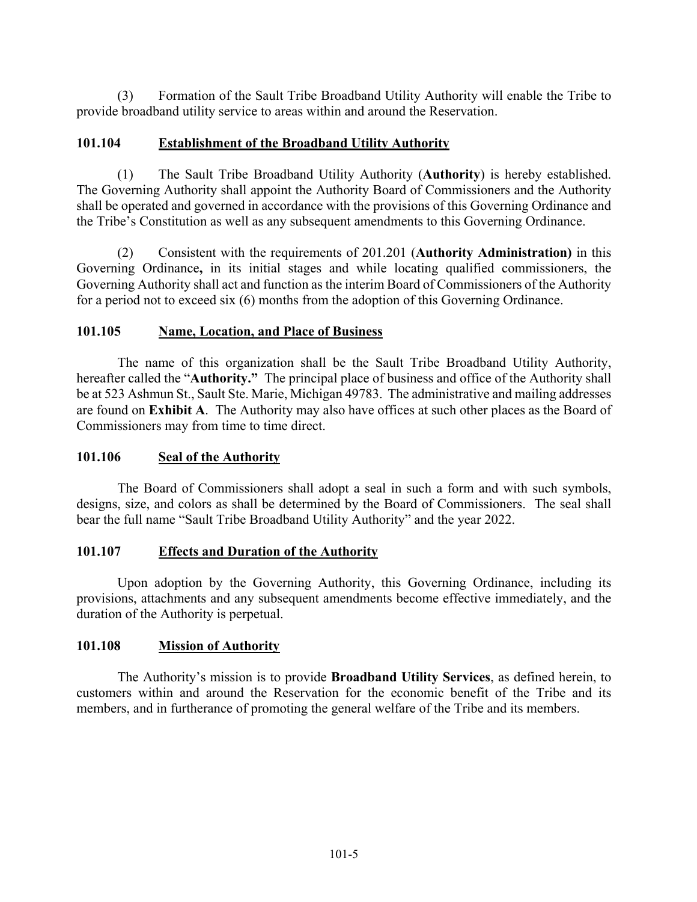(3) Formation of the Sault Tribe Broadband Utility Authority will enable the Tribe to provide broadband utility service to areas within and around the Reservation.

#### **101.104 Establishment of the Broadband Utility Authority**

 (1) The Sault Tribe Broadband Utility Authority (**Authority**) is hereby established. The Governing Authority shall appoint the Authority Board of Commissioners and the Authority shall be operated and governed in accordance with the provisions of this Governing Ordinance and the Tribe's Constitution as well as any subsequent amendments to this Governing Ordinance.

 (2) Consistent with the requirements of 201.201 (**Authority Administration)** in this Governing Ordinance**,** in its initial stages and while locating qualified commissioners, the Governing Authority shall act and function as the interim Board of Commissioners of the Authority for a period not to exceed six (6) months from the adoption of this Governing Ordinance.

#### **101.105 Name, Location, and Place of Business**

 The name of this organization shall be the Sault Tribe Broadband Utility Authority, hereafter called the "**Authority."** The principal place of business and office of the Authority shall be at 523 Ashmun St., Sault Ste. Marie, Michigan 49783. The administrative and mailing addresses are found on **Exhibit A**. The Authority may also have offices at such other places as the Board of Commissioners may from time to time direct.

#### **101.106 Seal of the Authority**

The Board of Commissioners shall adopt a seal in such a form and with such symbols, designs, size, and colors as shall be determined by the Board of Commissioners. The seal shall bear the full name "Sault Tribe Broadband Utility Authority" and the year 2022.

#### **101.107 Effects and Duration of the Authority**

 Upon adoption by the Governing Authority, this Governing Ordinance, including its provisions, attachments and any subsequent amendments become effective immediately, and the duration of the Authority is perpetual.

#### **101.108 Mission of Authority**

 The Authority's mission is to provide **Broadband Utility Services**, as defined herein, to customers within and around the Reservation for the economic benefit of the Tribe and its members, and in furtherance of promoting the general welfare of the Tribe and its members.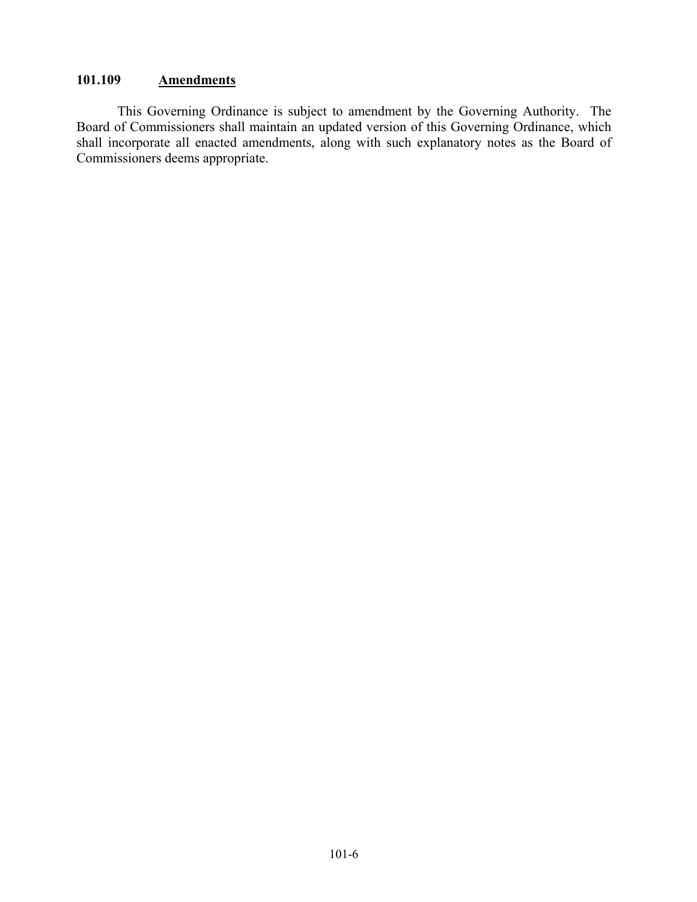# **101.109 Amendments**

 This Governing Ordinance is subject to amendment by the Governing Authority. The Board of Commissioners shall maintain an updated version of this Governing Ordinance, which shall incorporate all enacted amendments, along with such explanatory notes as the Board of Commissioners deems appropriate.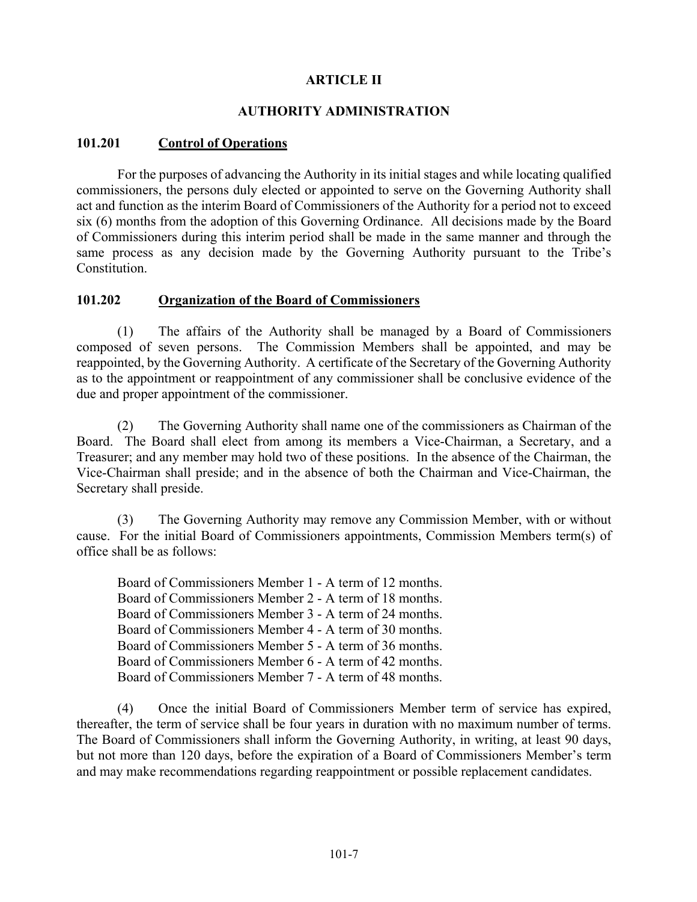#### **ARTICLE II**

#### **AUTHORITY ADMINISTRATION**

#### **101.201 Control of Operations**

 For the purposes of advancing the Authority in its initial stages and while locating qualified commissioners, the persons duly elected or appointed to serve on the Governing Authority shall act and function as the interim Board of Commissioners of the Authority for a period not to exceed six (6) months from the adoption of this Governing Ordinance. All decisions made by the Board of Commissioners during this interim period shall be made in the same manner and through the same process as any decision made by the Governing Authority pursuant to the Tribe's Constitution.

#### **101.202 Organization of the Board of Commissioners**

 (1) The affairs of the Authority shall be managed by a Board of Commissioners composed of seven persons. The Commission Members shall be appointed, and may be reappointed, by the Governing Authority. A certificate of the Secretary of the Governing Authority as to the appointment or reappointment of any commissioner shall be conclusive evidence of the due and proper appointment of the commissioner.

 (2) The Governing Authority shall name one of the commissioners as Chairman of the Board. The Board shall elect from among its members a Vice-Chairman, a Secretary, and a Treasurer; and any member may hold two of these positions. In the absence of the Chairman, the Vice-Chairman shall preside; and in the absence of both the Chairman and Vice-Chairman, the Secretary shall preside.

 (3) The Governing Authority may remove any Commission Member, with or without cause. For the initial Board of Commissioners appointments, Commission Members term(s) of office shall be as follows:

Board of Commissioners Member 1 - A term of 12 months. Board of Commissioners Member 2 - A term of 18 months. Board of Commissioners Member 3 - A term of 24 months. Board of Commissioners Member 4 - A term of 30 months. Board of Commissioners Member 5 - A term of 36 months. Board of Commissioners Member 6 - A term of 42 months. Board of Commissioners Member 7 - A term of 48 months.

 (4) Once the initial Board of Commissioners Member term of service has expired, thereafter, the term of service shall be four years in duration with no maximum number of terms. The Board of Commissioners shall inform the Governing Authority, in writing, at least 90 days, but not more than 120 days, before the expiration of a Board of Commissioners Member's term and may make recommendations regarding reappointment or possible replacement candidates.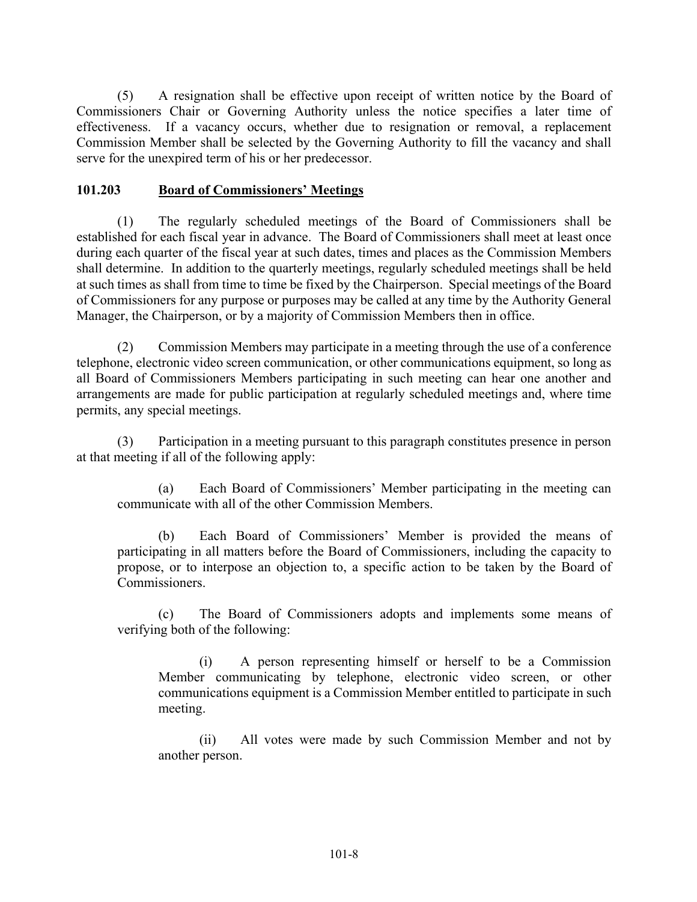(5) A resignation shall be effective upon receipt of written notice by the Board of Commissioners Chair or Governing Authority unless the notice specifies a later time of effectiveness. If a vacancy occurs, whether due to resignation or removal, a replacement Commission Member shall be selected by the Governing Authority to fill the vacancy and shall serve for the unexpired term of his or her predecessor.

#### **101.203 Board of Commissioners' Meetings**

 (1) The regularly scheduled meetings of the Board of Commissioners shall be established for each fiscal year in advance. The Board of Commissioners shall meet at least once during each quarter of the fiscal year at such dates, times and places as the Commission Members shall determine. In addition to the quarterly meetings, regularly scheduled meetings shall be held at such times as shall from time to time be fixed by the Chairperson. Special meetings of the Board of Commissioners for any purpose or purposes may be called at any time by the Authority General Manager, the Chairperson, or by a majority of Commission Members then in office.

 (2) Commission Members may participate in a meeting through the use of a conference telephone, electronic video screen communication, or other communications equipment, so long as all Board of Commissioners Members participating in such meeting can hear one another and arrangements are made for public participation at regularly scheduled meetings and, where time permits, any special meetings.

 (3) Participation in a meeting pursuant to this paragraph constitutes presence in person at that meeting if all of the following apply:

(a) Each Board of Commissioners' Member participating in the meeting can communicate with all of the other Commission Members.

(b) Each Board of Commissioners' Member is provided the means of participating in all matters before the Board of Commissioners, including the capacity to propose, or to interpose an objection to, a specific action to be taken by the Board of Commissioners.

(c) The Board of Commissioners adopts and implements some means of verifying both of the following:

(i) A person representing himself or herself to be a Commission Member communicating by telephone, electronic video screen, or other communications equipment is a Commission Member entitled to participate in such meeting.

(ii) All votes were made by such Commission Member and not by another person.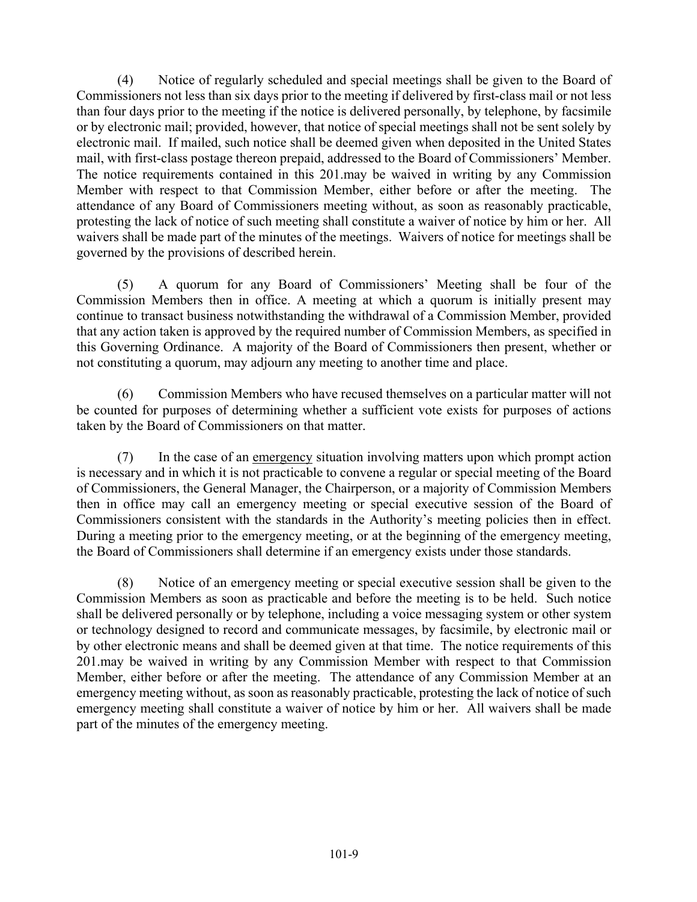(4) Notice of regularly scheduled and special meetings shall be given to the Board of Commissioners not less than six days prior to the meeting if delivered by first-class mail or not less than four days prior to the meeting if the notice is delivered personally, by telephone, by facsimile or by electronic mail; provided, however, that notice of special meetings shall not be sent solely by electronic mail. If mailed, such notice shall be deemed given when deposited in the United States mail, with first-class postage thereon prepaid, addressed to the Board of Commissioners' Member. The notice requirements contained in this 201.may be waived in writing by any Commission Member with respect to that Commission Member, either before or after the meeting. The attendance of any Board of Commissioners meeting without, as soon as reasonably practicable, protesting the lack of notice of such meeting shall constitute a waiver of notice by him or her. All waivers shall be made part of the minutes of the meetings. Waivers of notice for meetings shall be governed by the provisions of described herein.

 (5) A quorum for any Board of Commissioners' Meeting shall be four of the Commission Members then in office. A meeting at which a quorum is initially present may continue to transact business notwithstanding the withdrawal of a Commission Member, provided that any action taken is approved by the required number of Commission Members, as specified in this Governing Ordinance. A majority of the Board of Commissioners then present, whether or not constituting a quorum, may adjourn any meeting to another time and place.

 (6) Commission Members who have recused themselves on a particular matter will not be counted for purposes of determining whether a sufficient vote exists for purposes of actions taken by the Board of Commissioners on that matter.

 (7) In the case of an emergency situation involving matters upon which prompt action is necessary and in which it is not practicable to convene a regular or special meeting of the Board of Commissioners, the General Manager, the Chairperson, or a majority of Commission Members then in office may call an emergency meeting or special executive session of the Board of Commissioners consistent with the standards in the Authority's meeting policies then in effect. During a meeting prior to the emergency meeting, or at the beginning of the emergency meeting, the Board of Commissioners shall determine if an emergency exists under those standards.

 (8) Notice of an emergency meeting or special executive session shall be given to the Commission Members as soon as practicable and before the meeting is to be held. Such notice shall be delivered personally or by telephone, including a voice messaging system or other system or technology designed to record and communicate messages, by facsimile, by electronic mail or by other electronic means and shall be deemed given at that time. The notice requirements of this 201.may be waived in writing by any Commission Member with respect to that Commission Member, either before or after the meeting. The attendance of any Commission Member at an emergency meeting without, as soon as reasonably practicable, protesting the lack of notice of such emergency meeting shall constitute a waiver of notice by him or her. All waivers shall be made part of the minutes of the emergency meeting.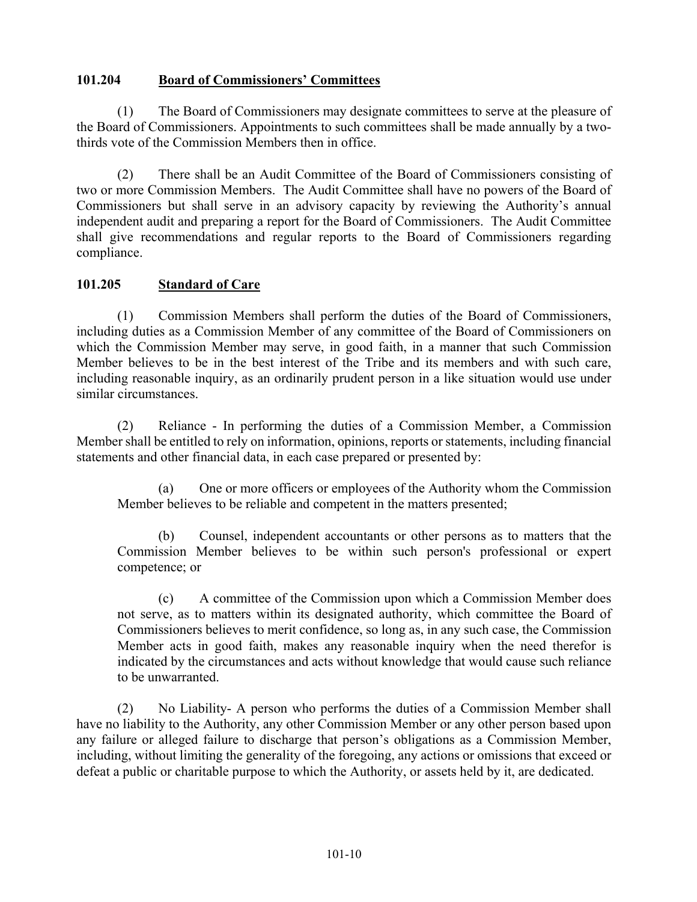#### **101.204 Board of Commissioners' Committees**

 (1) The Board of Commissioners may designate committees to serve at the pleasure of the Board of Commissioners. Appointments to such committees shall be made annually by a twothirds vote of the Commission Members then in office.

 (2) There shall be an Audit Committee of the Board of Commissioners consisting of two or more Commission Members. The Audit Committee shall have no powers of the Board of Commissioners but shall serve in an advisory capacity by reviewing the Authority's annual independent audit and preparing a report for the Board of Commissioners. The Audit Committee shall give recommendations and regular reports to the Board of Commissioners regarding compliance.

#### **101.205 Standard of Care**

 (1) Commission Members shall perform the duties of the Board of Commissioners, including duties as a Commission Member of any committee of the Board of Commissioners on which the Commission Member may serve, in good faith, in a manner that such Commission Member believes to be in the best interest of the Tribe and its members and with such care, including reasonable inquiry, as an ordinarily prudent person in a like situation would use under similar circumstances.

 (2) Reliance - In performing the duties of a Commission Member, a Commission Member shall be entitled to rely on information, opinions, reports or statements, including financial statements and other financial data, in each case prepared or presented by:

(a) One or more officers or employees of the Authority whom the Commission Member believes to be reliable and competent in the matters presented;

(b) Counsel, independent accountants or other persons as to matters that the Commission Member believes to be within such person's professional or expert competence; or

(c) A committee of the Commission upon which a Commission Member does not serve, as to matters within its designated authority, which committee the Board of Commissioners believes to merit confidence, so long as, in any such case, the Commission Member acts in good faith, makes any reasonable inquiry when the need therefor is indicated by the circumstances and acts without knowledge that would cause such reliance to be unwarranted.

 (2) No Liability- A person who performs the duties of a Commission Member shall have no liability to the Authority, any other Commission Member or any other person based upon any failure or alleged failure to discharge that person's obligations as a Commission Member, including, without limiting the generality of the foregoing, any actions or omissions that exceed or defeat a public or charitable purpose to which the Authority, or assets held by it, are dedicated.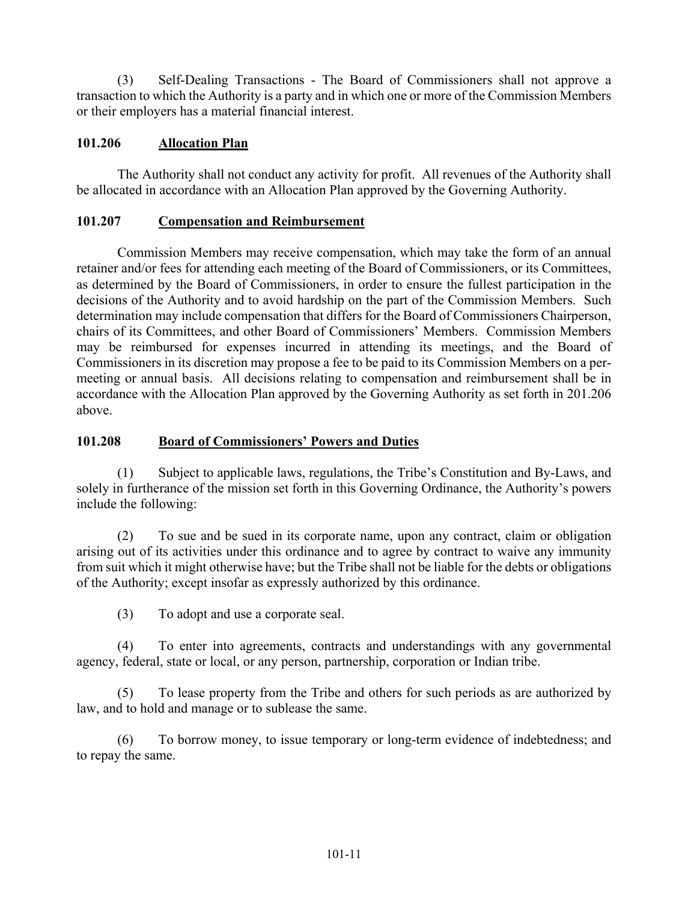(3) Self-Dealing Transactions - The Board of Commissioners shall not approve a transaction to which the Authority is a party and in which one or more of the Commission Members or their employers has a material financial interest.

#### **101.206 Allocation Plan**

 The Authority shall not conduct any activity for profit. All revenues of the Authority shall be allocated in accordance with an Allocation Plan approved by the Governing Authority.

#### **101.207 Compensation and Reimbursement**

 Commission Members may receive compensation, which may take the form of an annual retainer and/or fees for attending each meeting of the Board of Commissioners, or its Committees, as determined by the Board of Commissioners, in order to ensure the fullest participation in the decisions of the Authority and to avoid hardship on the part of the Commission Members. Such determination may include compensation that differs for the Board of Commissioners Chairperson, chairs of its Committees, and other Board of Commissioners' Members. Commission Members may be reimbursed for expenses incurred in attending its meetings, and the Board of Commissioners in its discretion may propose a fee to be paid to its Commission Members on a permeeting or annual basis. All decisions relating to compensation and reimbursement shall be in accordance with the Allocation Plan approved by the Governing Authority as set forth in 201.206 above.

#### **101.208 Board of Commissioners' Powers and Duties**

 (1) Subject to applicable laws, regulations, the Tribe's Constitution and By-Laws, and solely in furtherance of the mission set forth in this Governing Ordinance, the Authority's powers include the following:

 (2) To sue and be sued in its corporate name, upon any contract, claim or obligation arising out of its activities under this ordinance and to agree by contract to waive any immunity from suit which it might otherwise have; but the Tribe shall not be liable for the debts or obligations of the Authority; except insofar as expressly authorized by this ordinance.

(3) To adopt and use a corporate seal.

 (4) To enter into agreements, contracts and understandings with any governmental agency, federal, state or local, or any person, partnership, corporation or Indian tribe.

 (5) To lease property from the Tribe and others for such periods as are authorized by law, and to hold and manage or to sublease the same.

 (6) To borrow money, to issue temporary or long-term evidence of indebtedness; and to repay the same.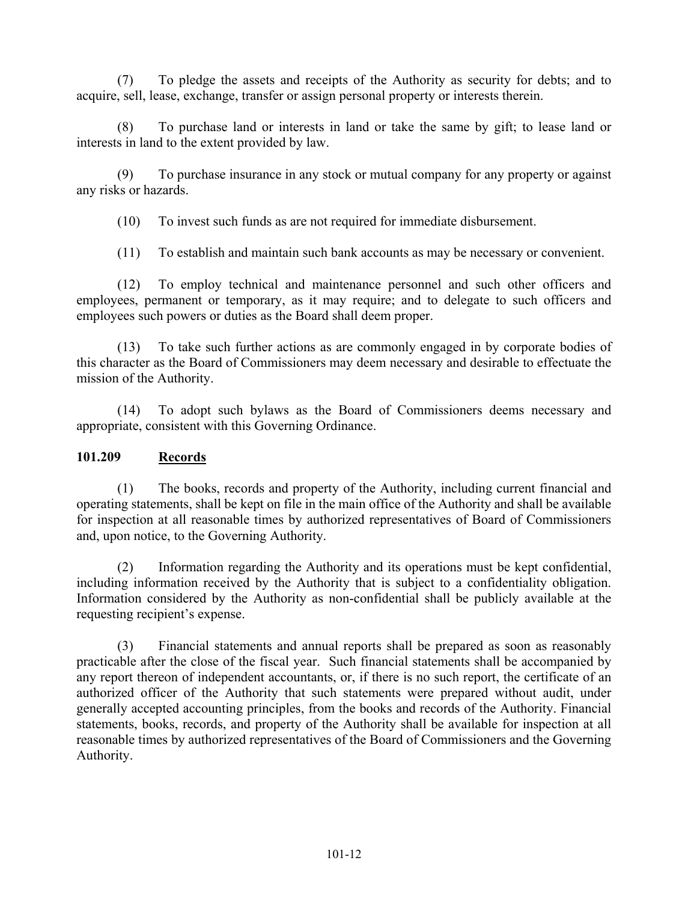(7) To pledge the assets and receipts of the Authority as security for debts; and to acquire, sell, lease, exchange, transfer or assign personal property or interests therein.

 (8) To purchase land or interests in land or take the same by gift; to lease land or interests in land to the extent provided by law.

 (9) To purchase insurance in any stock or mutual company for any property or against any risks or hazards.

(10) To invest such funds as are not required for immediate disbursement.

(11) To establish and maintain such bank accounts as may be necessary or convenient.

 (12) To employ technical and maintenance personnel and such other officers and employees, permanent or temporary, as it may require; and to delegate to such officers and employees such powers or duties as the Board shall deem proper.

 (13) To take such further actions as are commonly engaged in by corporate bodies of this character as the Board of Commissioners may deem necessary and desirable to effectuate the mission of the Authority.

 (14) To adopt such bylaws as the Board of Commissioners deems necessary and appropriate, consistent with this Governing Ordinance.

#### **101.209 Records**

 (1) The books, records and property of the Authority, including current financial and operating statements, shall be kept on file in the main office of the Authority and shall be available for inspection at all reasonable times by authorized representatives of Board of Commissioners and, upon notice, to the Governing Authority.

 (2) Information regarding the Authority and its operations must be kept confidential, including information received by the Authority that is subject to a confidentiality obligation. Information considered by the Authority as non-confidential shall be publicly available at the requesting recipient's expense.

 (3) Financial statements and annual reports shall be prepared as soon as reasonably practicable after the close of the fiscal year. Such financial statements shall be accompanied by any report thereon of independent accountants, or, if there is no such report, the certificate of an authorized officer of the Authority that such statements were prepared without audit, under generally accepted accounting principles, from the books and records of the Authority. Financial statements, books, records, and property of the Authority shall be available for inspection at all reasonable times by authorized representatives of the Board of Commissioners and the Governing Authority.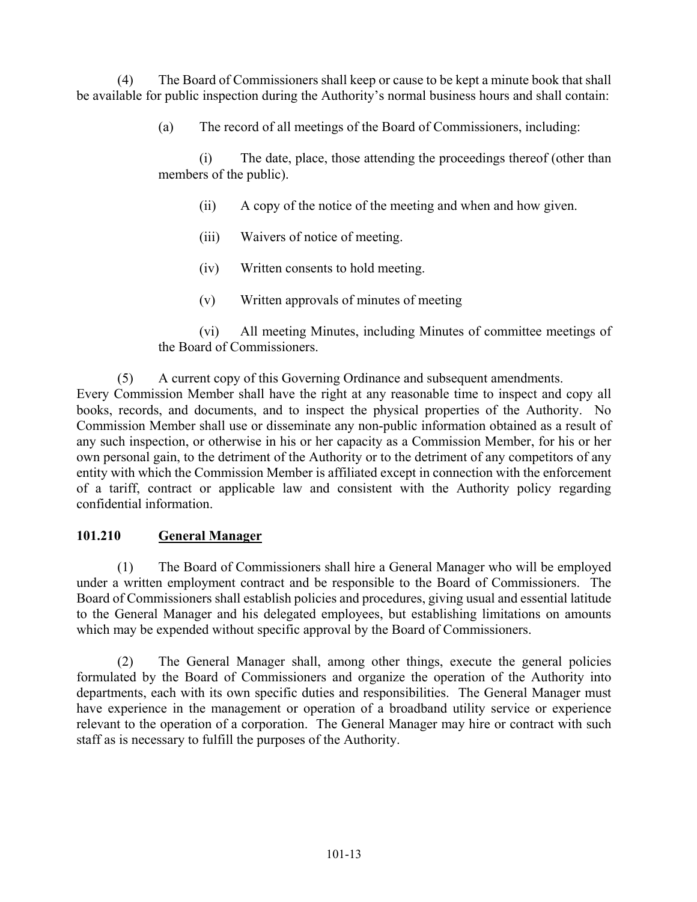(4) The Board of Commissioners shall keep or cause to be kept a minute book that shall be available for public inspection during the Authority's normal business hours and shall contain:

(a) The record of all meetings of the Board of Commissioners, including:

(i) The date, place, those attending the proceedings thereof (other than members of the public).

- (ii) A copy of the notice of the meeting and when and how given.
- (iii) Waivers of notice of meeting.
- (iv) Written consents to hold meeting.
- (v) Written approvals of minutes of meeting

(vi) All meeting Minutes, including Minutes of committee meetings of the Board of Commissioners.

#### (5) A current copy of this Governing Ordinance and subsequent amendments.

Every Commission Member shall have the right at any reasonable time to inspect and copy all books, records, and documents, and to inspect the physical properties of the Authority. No Commission Member shall use or disseminate any non-public information obtained as a result of any such inspection, or otherwise in his or her capacity as a Commission Member, for his or her own personal gain, to the detriment of the Authority or to the detriment of any competitors of any entity with which the Commission Member is affiliated except in connection with the enforcement of a tariff, contract or applicable law and consistent with the Authority policy regarding confidential information.

#### **101.210 General Manager**

 (1) The Board of Commissioners shall hire a General Manager who will be employed under a written employment contract and be responsible to the Board of Commissioners. The Board of Commissioners shall establish policies and procedures, giving usual and essential latitude to the General Manager and his delegated employees, but establishing limitations on amounts which may be expended without specific approval by the Board of Commissioners.

 (2) The General Manager shall, among other things, execute the general policies formulated by the Board of Commissioners and organize the operation of the Authority into departments, each with its own specific duties and responsibilities. The General Manager must have experience in the management or operation of a broadband utility service or experience relevant to the operation of a corporation. The General Manager may hire or contract with such staff as is necessary to fulfill the purposes of the Authority.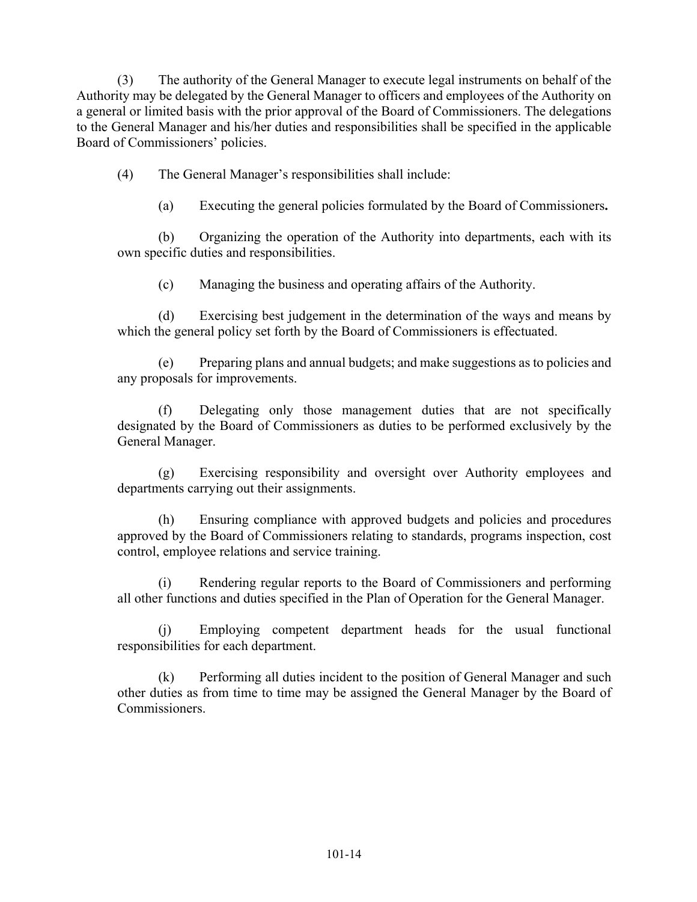(3) The authority of the General Manager to execute legal instruments on behalf of the Authority may be delegated by the General Manager to officers and employees of the Authority on a general or limited basis with the prior approval of the Board of Commissioners. The delegations to the General Manager and his/her duties and responsibilities shall be specified in the applicable Board of Commissioners' policies.

(4) The General Manager's responsibilities shall include:

(a) Executing the general policies formulated by the Board of Commissioners**.** 

(b) Organizing the operation of the Authority into departments, each with its own specific duties and responsibilities.

(c) Managing the business and operating affairs of the Authority.

(d) Exercising best judgement in the determination of the ways and means by which the general policy set forth by the Board of Commissioners is effectuated.

(e) Preparing plans and annual budgets; and make suggestions as to policies and any proposals for improvements.

(f) Delegating only those management duties that are not specifically designated by the Board of Commissioners as duties to be performed exclusively by the General Manager.

(g) Exercising responsibility and oversight over Authority employees and departments carrying out their assignments.

(h) Ensuring compliance with approved budgets and policies and procedures approved by the Board of Commissioners relating to standards, programs inspection, cost control, employee relations and service training.

(i) Rendering regular reports to the Board of Commissioners and performing all other functions and duties specified in the Plan of Operation for the General Manager.

(j) Employing competent department heads for the usual functional responsibilities for each department.

(k) Performing all duties incident to the position of General Manager and such other duties as from time to time may be assigned the General Manager by the Board of Commissioners.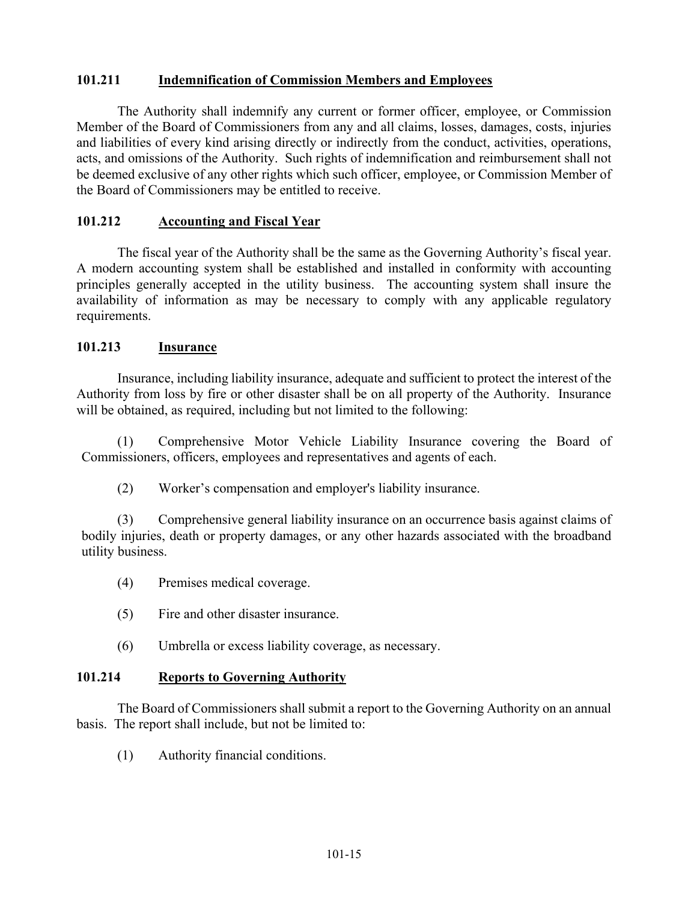#### **101.211 Indemnification of Commission Members and Employees**

 The Authority shall indemnify any current or former officer, employee, or Commission Member of the Board of Commissioners from any and all claims, losses, damages, costs, injuries and liabilities of every kind arising directly or indirectly from the conduct, activities, operations, acts, and omissions of the Authority. Such rights of indemnification and reimbursement shall not be deemed exclusive of any other rights which such officer, employee, or Commission Member of the Board of Commissioners may be entitled to receive.

#### **101.212 Accounting and Fiscal Year**

 The fiscal year of the Authority shall be the same as the Governing Authority's fiscal year. A modern accounting system shall be established and installed in conformity with accounting principles generally accepted in the utility business. The accounting system shall insure the availability of information as may be necessary to comply with any applicable regulatory requirements.

#### **101.213 Insurance**

 Insurance, including liability insurance, adequate and sufficient to protect the interest of the Authority from loss by fire or other disaster shall be on all property of the Authority. Insurance will be obtained, as required, including but not limited to the following:

 (1) Comprehensive Motor Vehicle Liability Insurance covering the Board of Commissioners, officers, employees and representatives and agents of each.

(2) Worker's compensation and employer's liability insurance.

 (3) Comprehensive general liability insurance on an occurrence basis against claims of bodily injuries, death or property damages, or any other hazards associated with the broadband utility business.

- (4) Premises medical coverage.
- (5) Fire and other disaster insurance.
- (6) Umbrella or excess liability coverage, as necessary.

#### **101.214 Reports to Governing Authority**

 The Board of Commissioners shall submit a report to the Governing Authority on an annual basis. The report shall include, but not be limited to:

(1) Authority financial conditions.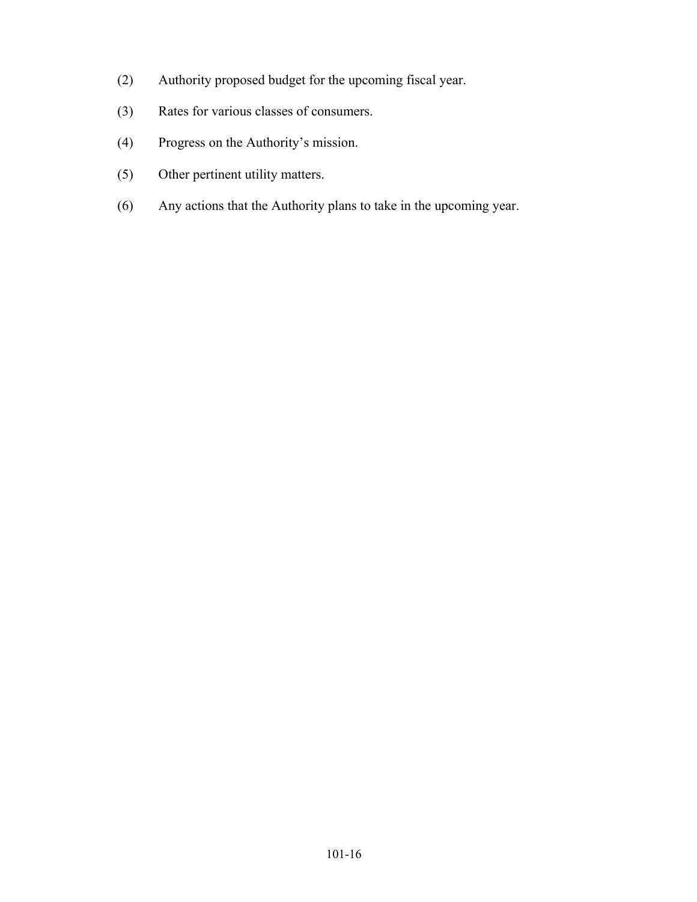- (2) Authority proposed budget for the upcoming fiscal year.
- (3) Rates for various classes of consumers.
- (4) Progress on the Authority's mission.
- (5) Other pertinent utility matters.
- (6) Any actions that the Authority plans to take in the upcoming year.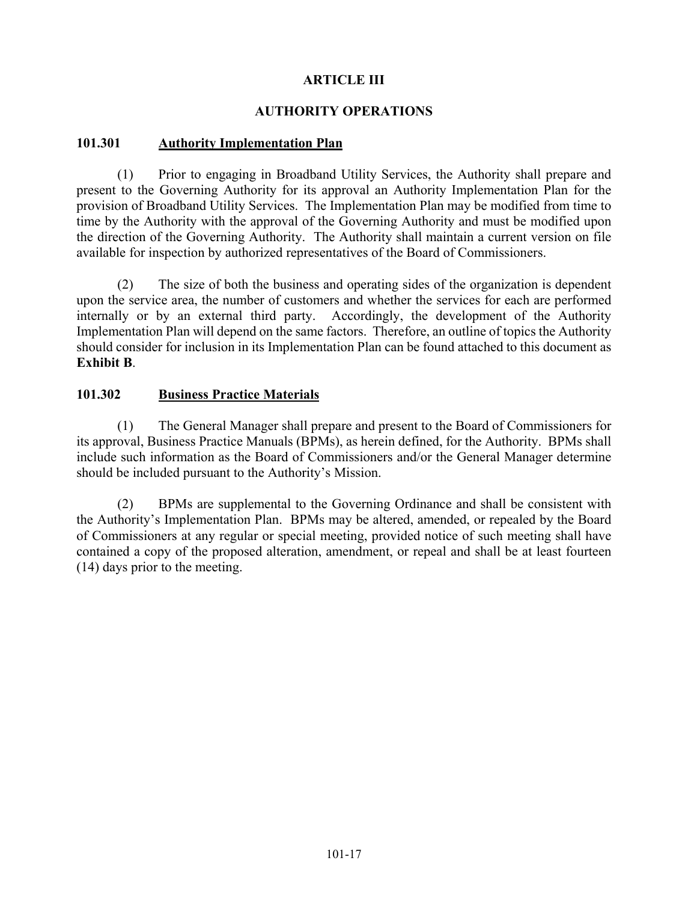#### **ARTICLE III**

#### **AUTHORITY OPERATIONS**

#### **101.301 Authority Implementation Plan**

 (1) Prior to engaging in Broadband Utility Services, the Authority shall prepare and present to the Governing Authority for its approval an Authority Implementation Plan for the provision of Broadband Utility Services. The Implementation Plan may be modified from time to time by the Authority with the approval of the Governing Authority and must be modified upon the direction of the Governing Authority. The Authority shall maintain a current version on file available for inspection by authorized representatives of the Board of Commissioners.

 (2) The size of both the business and operating sides of the organization is dependent upon the service area, the number of customers and whether the services for each are performed internally or by an external third party. Accordingly, the development of the Authority Implementation Plan will depend on the same factors. Therefore, an outline of topics the Authority should consider for inclusion in its Implementation Plan can be found attached to this document as **Exhibit B**.

#### **101.302 Business Practice Materials**

 (1) The General Manager shall prepare and present to the Board of Commissioners for its approval, Business Practice Manuals (BPMs), as herein defined, for the Authority. BPMs shall include such information as the Board of Commissioners and/or the General Manager determine should be included pursuant to the Authority's Mission.

 (2) BPMs are supplemental to the Governing Ordinance and shall be consistent with the Authority's Implementation Plan. BPMs may be altered, amended, or repealed by the Board of Commissioners at any regular or special meeting, provided notice of such meeting shall have contained a copy of the proposed alteration, amendment, or repeal and shall be at least fourteen (14) days prior to the meeting.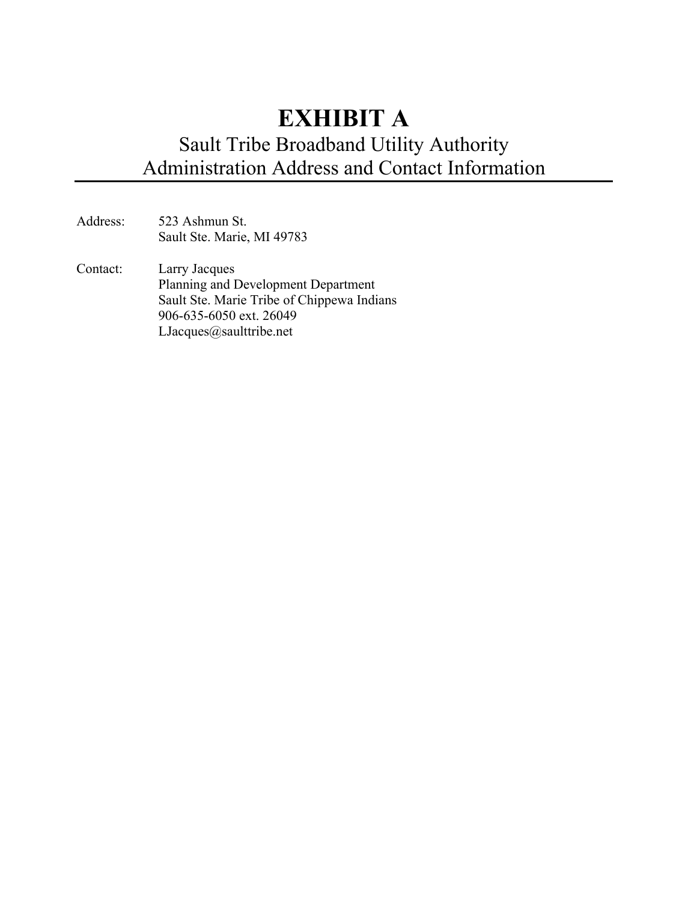# **EXHIBIT A**  Sault Tribe Broadband Utility Authority Administration Address and Contact Information

- Address: 523 Ashmun St. Sault Ste. Marie, MI 49783
- Contact: Larry Jacques Planning and Development Department Sault Ste. Marie Tribe of Chippewa Indians 906-635-6050 ext. 26049 LJacques@saulttribe.net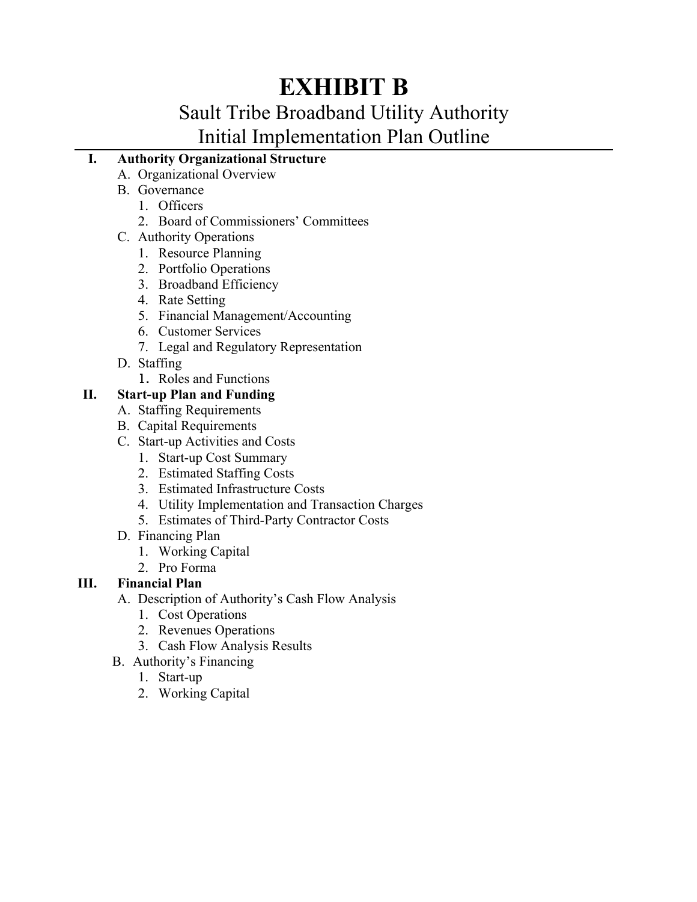# **EXHIBIT B**

# Sault Tribe Broadband Utility Authority Initial Implementation Plan Outline

# **I. Authority Organizational Structure**

- A. Organizational Overview
- B. Governance
	- 1. Officers
	- 2. Board of Commissioners' Committees
- C. Authority Operations
	- 1. Resource Planning
	- 2. Portfolio Operations
	- 3. Broadband Efficiency
	- 4. Rate Setting
	- 5. Financial Management/Accounting
	- 6. Customer Services
	- 7. Legal and Regulatory Representation
- D. Staffing
	- 1. Roles and Functions

# **II. Start-up Plan and Funding**

- A. Staffing Requirements
- B. Capital Requirements
- C. Start-up Activities and Costs
	- 1. Start-up Cost Summary
	- 2. Estimated Staffing Costs
	- 3. Estimated Infrastructure Costs
	- 4. Utility Implementation and Transaction Charges
	- 5. Estimates of Third-Party Contractor Costs
- D. Financing Plan
	- 1. Working Capital
	- 2. Pro Forma

# **III. Financial Plan**

- A. Description of Authority's Cash Flow Analysis
	- 1. Cost Operations
	- 2. Revenues Operations
	- 3. Cash Flow Analysis Results
- B. Authority's Financing
	- 1. Start-up
	- 2. Working Capital